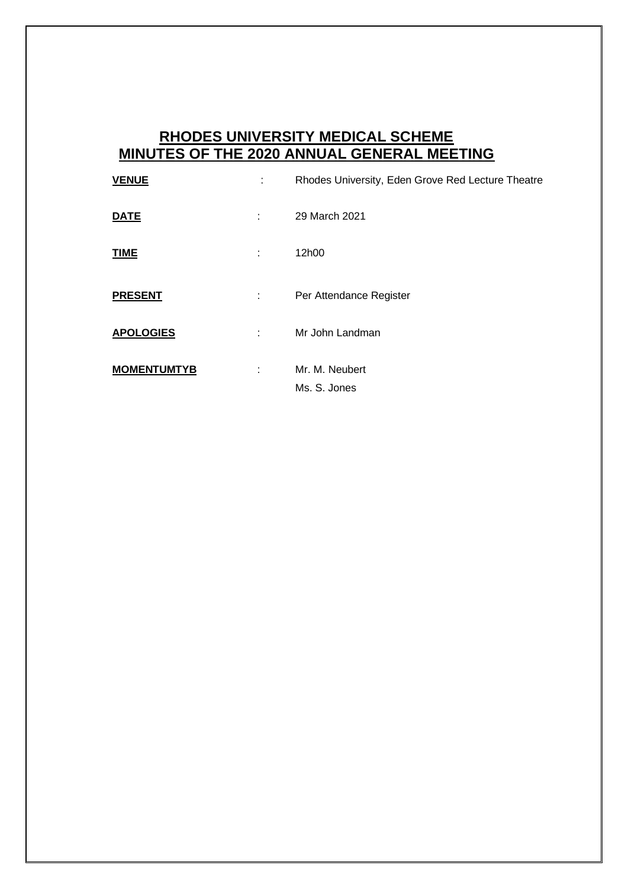## **RHODES UNIVERSITY MEDICAL SCHEME MINUTES OF THE 2020 ANNUAL GENERAL MEETING**

| <b>VENUE</b>       | ÷  | Rhodes University, Eden Grove Red Lecture Theatre |
|--------------------|----|---------------------------------------------------|
| <b>DATE</b>        | ÷  | 29 March 2021                                     |
| <b>TIME</b>        | ٠. | 12h00                                             |
| <b>PRESENT</b>     | ÷  | Per Attendance Register                           |
| <b>APOLOGIES</b>   | t. | Mr John Landman                                   |
| <b>MOMENTUMTYB</b> |    | Mr. M. Neubert<br>Ms. S. Jones                    |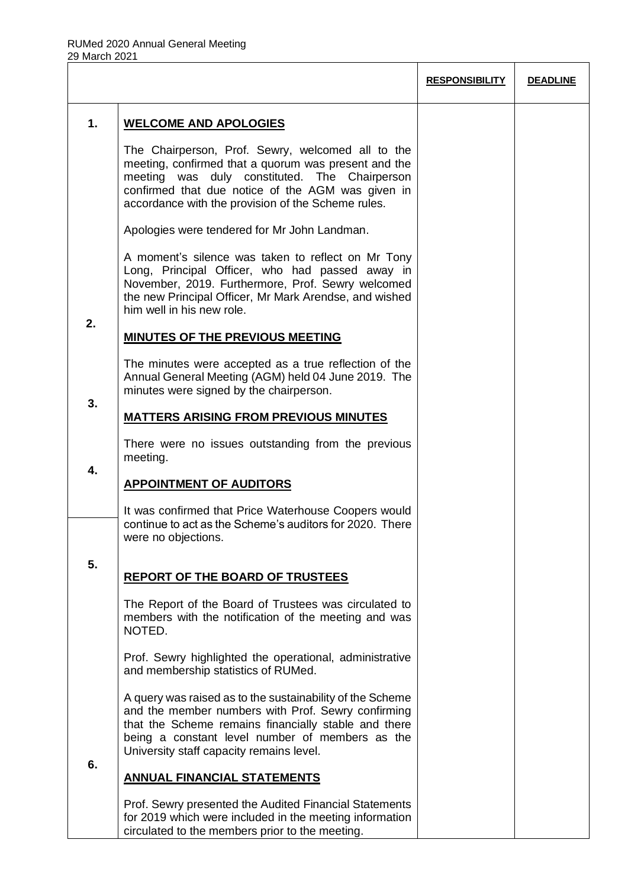|    |                                                                                                                                                                                                                                                                        | <b>RESPONSIBILITY</b> | <b>DEADLINE</b> |
|----|------------------------------------------------------------------------------------------------------------------------------------------------------------------------------------------------------------------------------------------------------------------------|-----------------------|-----------------|
| 1. | <b>WELCOME AND APOLOGIES</b>                                                                                                                                                                                                                                           |                       |                 |
|    | The Chairperson, Prof. Sewry, welcomed all to the<br>meeting, confirmed that a quorum was present and the<br>meeting was duly constituted. The Chairperson<br>confirmed that due notice of the AGM was given in<br>accordance with the provision of the Scheme rules.  |                       |                 |
|    | Apologies were tendered for Mr John Landman.                                                                                                                                                                                                                           |                       |                 |
|    | A moment's silence was taken to reflect on Mr Tony<br>Long, Principal Officer, who had passed away in<br>November, 2019. Furthermore, Prof. Sewry welcomed<br>the new Principal Officer, Mr Mark Arendse, and wished<br>him well in his new role.                      |                       |                 |
| 2. | <b>MINUTES OF THE PREVIOUS MEETING</b>                                                                                                                                                                                                                                 |                       |                 |
| 3. | The minutes were accepted as a true reflection of the<br>Annual General Meeting (AGM) held 04 June 2019. The<br>minutes were signed by the chairperson.                                                                                                                |                       |                 |
|    | <b>MATTERS ARISING FROM PREVIOUS MINUTES</b>                                                                                                                                                                                                                           |                       |                 |
| 4. | There were no issues outstanding from the previous<br>meeting.                                                                                                                                                                                                         |                       |                 |
|    | <b>APPOINTMENT OF AUDITORS</b>                                                                                                                                                                                                                                         |                       |                 |
|    | It was confirmed that Price Waterhouse Coopers would<br>continue to act as the Scheme's auditors for 2020. There<br>were no objections.                                                                                                                                |                       |                 |
| 5. | <b>REPORT OF THE BOARD OF TRUSTEES</b>                                                                                                                                                                                                                                 |                       |                 |
|    | The Report of the Board of Trustees was circulated to<br>members with the notification of the meeting and was<br>NOTED.                                                                                                                                                |                       |                 |
|    | Prof. Sewry highlighted the operational, administrative<br>and membership statistics of RUMed.                                                                                                                                                                         |                       |                 |
|    | A query was raised as to the sustainability of the Scheme<br>and the member numbers with Prof. Sewry confirming<br>that the Scheme remains financially stable and there<br>being a constant level number of members as the<br>University staff capacity remains level. |                       |                 |
| 6. | <b>ANNUAL FINANCIAL STATEMENTS</b>                                                                                                                                                                                                                                     |                       |                 |
|    | Prof. Sewry presented the Audited Financial Statements<br>for 2019 which were included in the meeting information<br>circulated to the members prior to the meeting.                                                                                                   |                       |                 |

Τ

Τ